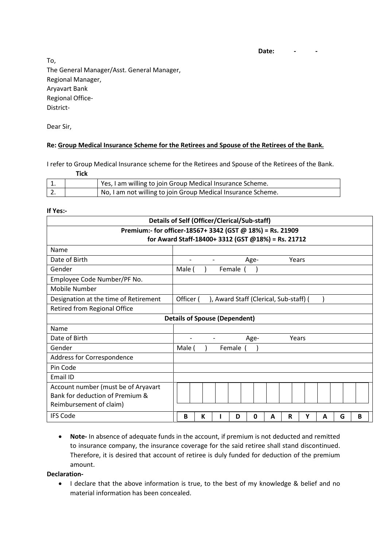**Date: - -**

To, The General Manager/Asst. General Manager, Regional Manager, Aryavart Bank Regional Office-District-

Dear Sir,

## **Re: Group Medical Insurance Scheme for the Retirees and Spouse of the Retirees of the Bank.**

I refer to Group Medical Insurance scheme for the Retirees and Spouse of the Retirees of the Bank.

 **Tick**

| ᅩ        | Yes, I am willing to join Group Medical Insurance Scheme.    |
|----------|--------------------------------------------------------------|
| <u>,</u> | No, I am not willing to join Group Medical Insurance Scheme. |

## **If Yes:-**

| Details of Self (Officer/Clerical/Sub-staff)                                                      |                                                     |                                           |  |          |      |   |       |   |   |   |   |  |  |
|---------------------------------------------------------------------------------------------------|-----------------------------------------------------|-------------------------------------------|--|----------|------|---|-------|---|---|---|---|--|--|
| Premium:- for officer-18567+ 3342 (GST @ 18%) = Rs. 21909                                         |                                                     |                                           |  |          |      |   |       |   |   |   |   |  |  |
| for Award Staff-18400+3312 (GST @18%) = Rs. 21712                                                 |                                                     |                                           |  |          |      |   |       |   |   |   |   |  |  |
| Name                                                                                              |                                                     |                                           |  |          |      |   |       |   |   |   |   |  |  |
| Date of Birth                                                                                     |                                                     |                                           |  |          | Age- |   | Years |   |   |   |   |  |  |
| Gender                                                                                            |                                                     | Male (                                    |  | Female ( |      |   |       |   |   |   |   |  |  |
| Employee Code Number/PF No.                                                                       |                                                     |                                           |  |          |      |   |       |   |   |   |   |  |  |
| Mobile Number                                                                                     |                                                     |                                           |  |          |      |   |       |   |   |   |   |  |  |
| Designation at the time of Retirement                                                             | Officer (<br>), Award Staff (Clerical, Sub-staff) ( |                                           |  |          |      |   |       |   |   |   |   |  |  |
| Retired from Regional Office                                                                      |                                                     |                                           |  |          |      |   |       |   |   |   |   |  |  |
| <b>Details of Spouse (Dependent)</b>                                                              |                                                     |                                           |  |          |      |   |       |   |   |   |   |  |  |
| Name                                                                                              |                                                     |                                           |  |          |      |   |       |   |   |   |   |  |  |
| Date of Birth                                                                                     |                                                     | Age-<br>Years<br>$\overline{\phantom{a}}$ |  |          |      |   |       |   |   |   |   |  |  |
| Gender                                                                                            | Female<br>Male (                                    |                                           |  |          |      |   |       |   |   |   |   |  |  |
| Address for Correspondence                                                                        |                                                     |                                           |  |          |      |   |       |   |   |   |   |  |  |
| Pin Code                                                                                          |                                                     |                                           |  |          |      |   |       |   |   |   |   |  |  |
| Email ID                                                                                          |                                                     |                                           |  |          |      |   |       |   |   |   |   |  |  |
| Account number (must be of Aryavart<br>Bank for deduction of Premium &<br>Reimbursement of claim) |                                                     |                                           |  |          |      |   |       |   |   |   |   |  |  |
| <b>IFS Code</b>                                                                                   | B                                                   | К                                         |  | D        | 0    | A | R     | Υ | A | G | B |  |  |

 **Note-** In absence of adequate funds in the account, if premium is not deducted and remitted to insurance company, the insurance coverage for the said retiree shall stand discontinued. Therefore, it is desired that account of retiree is duly funded for deduction of the premium amount.

**Declaration-**

 I declare that the above information is true, to the best of my knowledge & belief and no material information has been concealed.